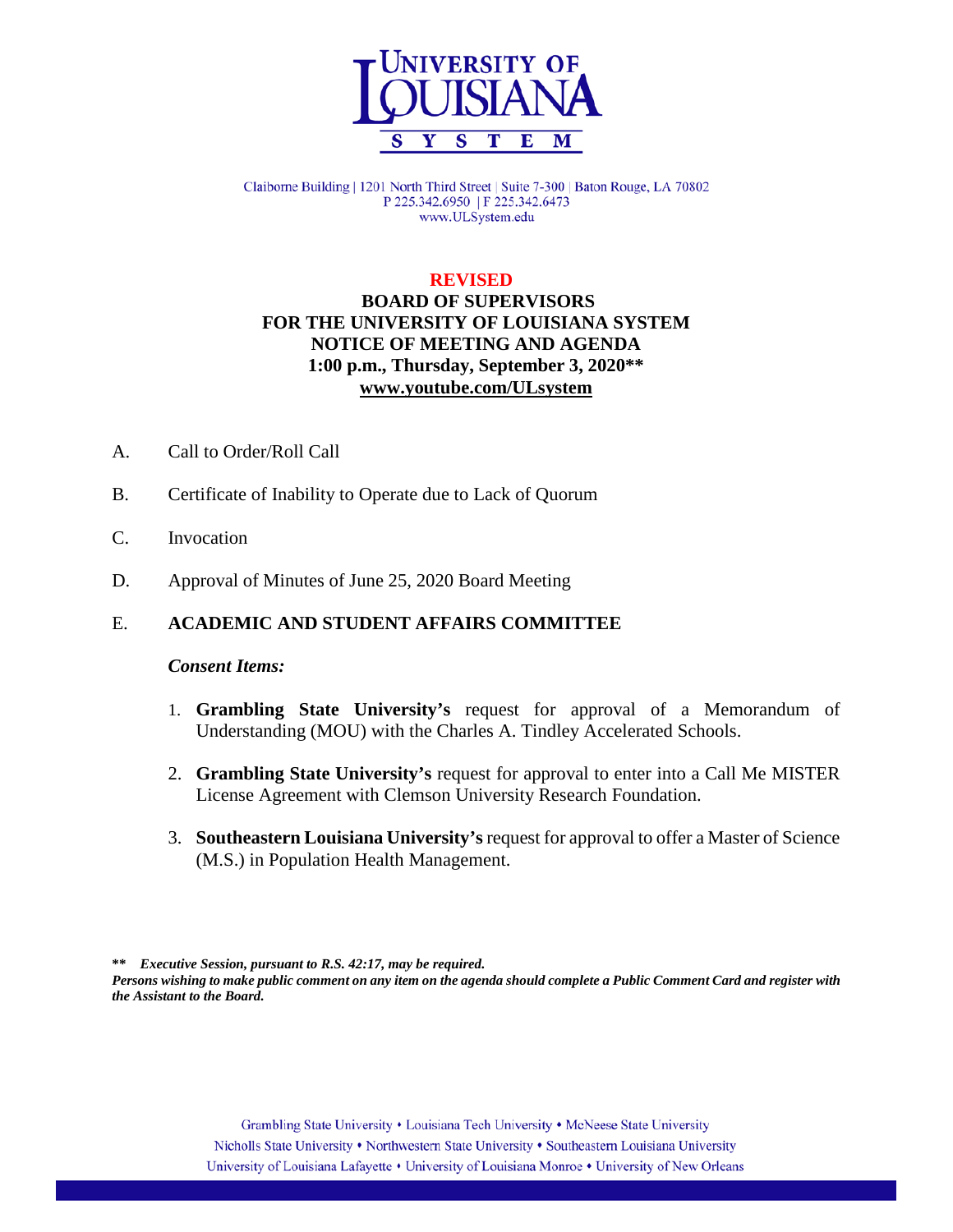

Claiborne Building | 1201 North Third Street | Suite 7-300 | Baton Rouge, LA 70802 P 225.342.6950 | F 225.342.6473 www.ULSystem.edu

#### **REVISED**

# **BOARD OF SUPERVISORS FOR THE UNIVERSITY OF LOUISIANA SYSTEM NOTICE OF MEETING AND AGENDA 1:00 p.m., Thursday, September 3, 2020\*\* [www.youtube.com/ULsystem](http://www.youtube.com/ULsystem)**

- A. Call to Order/Roll Call
- B. Certificate of Inability to Operate due to Lack of Quorum
- C. Invocation
- D. Approval of Minutes of June 25, 2020 Board Meeting

## E. **ACADEMIC AND STUDENT AFFAIRS COMMITTEE**

#### *Consent Items:*

- 1. **Grambling State University's** request for approval of a Memorandum of Understanding (MOU) with the Charles A. Tindley Accelerated Schools.
- 2. **Grambling State University's** request for approval to enter into a Call Me MISTER License Agreement with Clemson University Research Foundation.
- 3. **Southeastern Louisiana University's** request for approval to offer a Master of Science (M.S.) in Population Health Management.

**\*\*** *Executive Session, pursuant to R.S. 42:17, may be required.*

*Persons wishing to make public comment on any item on the agenda should complete a Public Comment Card and register with the Assistant to the Board.*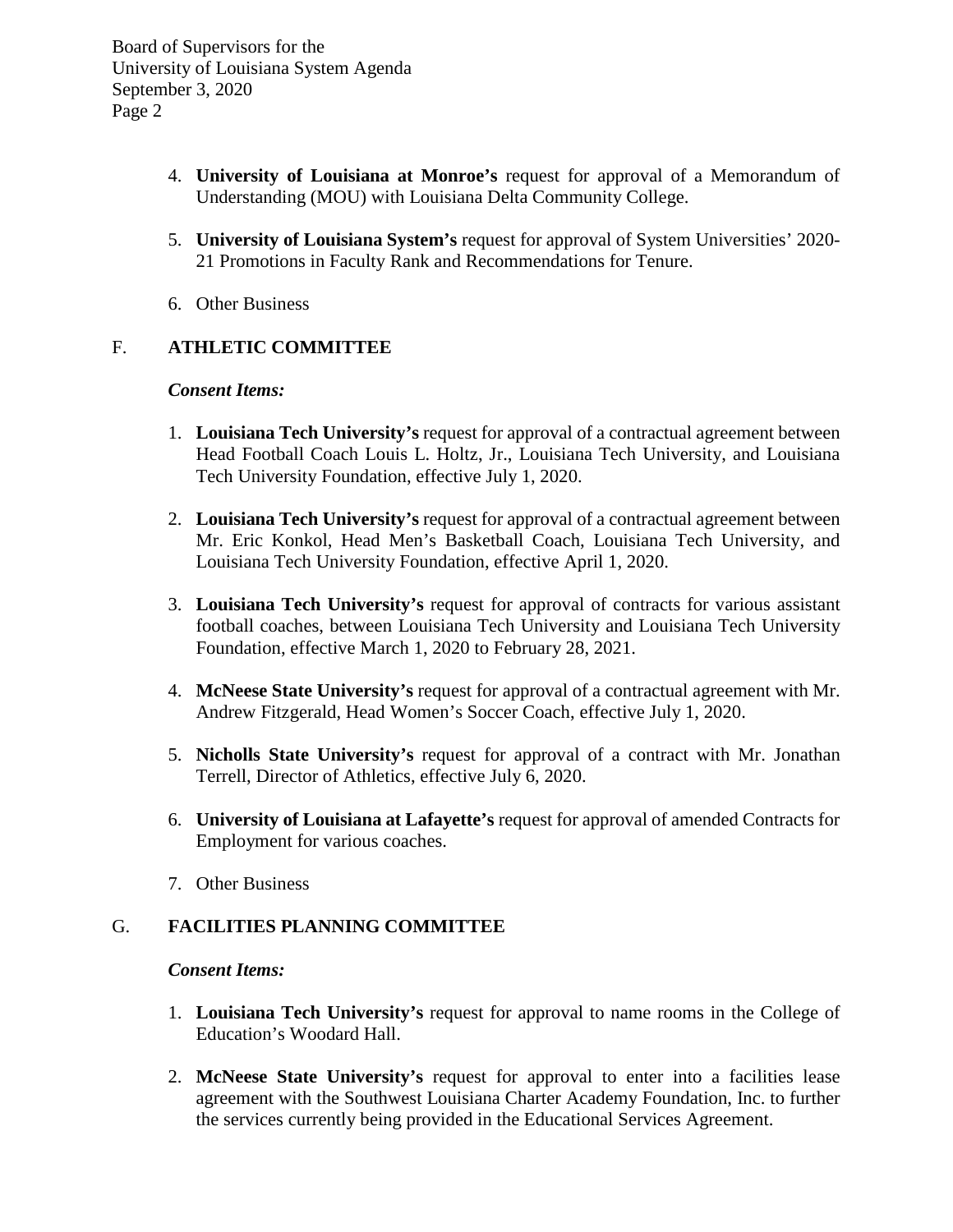Board of Supervisors for the University of Louisiana System Agenda September 3, 2020 Page 2

- 4. **University of Louisiana at Monroe's** request for approval of a Memorandum of Understanding (MOU) with Louisiana Delta Community College.
- 5. **University of Louisiana System's** request for approval of System Universities' 2020- 21 Promotions in Faculty Rank and Recommendations for Tenure.
- 6. Other Business

# F. **ATHLETIC COMMITTEE**

#### *Consent Items:*

- 1. **Louisiana Tech University's** request for approval of a contractual agreement between Head Football Coach Louis L. Holtz, Jr., Louisiana Tech University, and Louisiana Tech University Foundation, effective July 1, 2020.
- 2. **Louisiana Tech University's** request for approval of a contractual agreement between Mr. Eric Konkol, Head Men's Basketball Coach, Louisiana Tech University, and Louisiana Tech University Foundation, effective April 1, 2020.
- 3. **Louisiana Tech University's** request for approval of contracts for various assistant football coaches, between Louisiana Tech University and Louisiana Tech University Foundation, effective March 1, 2020 to February 28, 2021.
- 4. **McNeese State University's** request for approval of a contractual agreement with Mr. Andrew Fitzgerald, Head Women's Soccer Coach, effective July 1, 2020.
- 5. **Nicholls State University's** request for approval of a contract with Mr. Jonathan Terrell, Director of Athletics, effective July 6, 2020.
- 6. **University of Louisiana at Lafayette's** request for approval of amended Contracts for Employment for various coaches.
- 7. Other Business

# G. **FACILITIES PLANNING COMMITTEE**

## *Consent Items:*

- 1. **Louisiana Tech University's** request for approval to name rooms in the College of Education's Woodard Hall.
- 2. **McNeese State University's** request for approval to enter into a facilities lease agreement with the Southwest Louisiana Charter Academy Foundation, Inc. to further the services currently being provided in the Educational Services Agreement.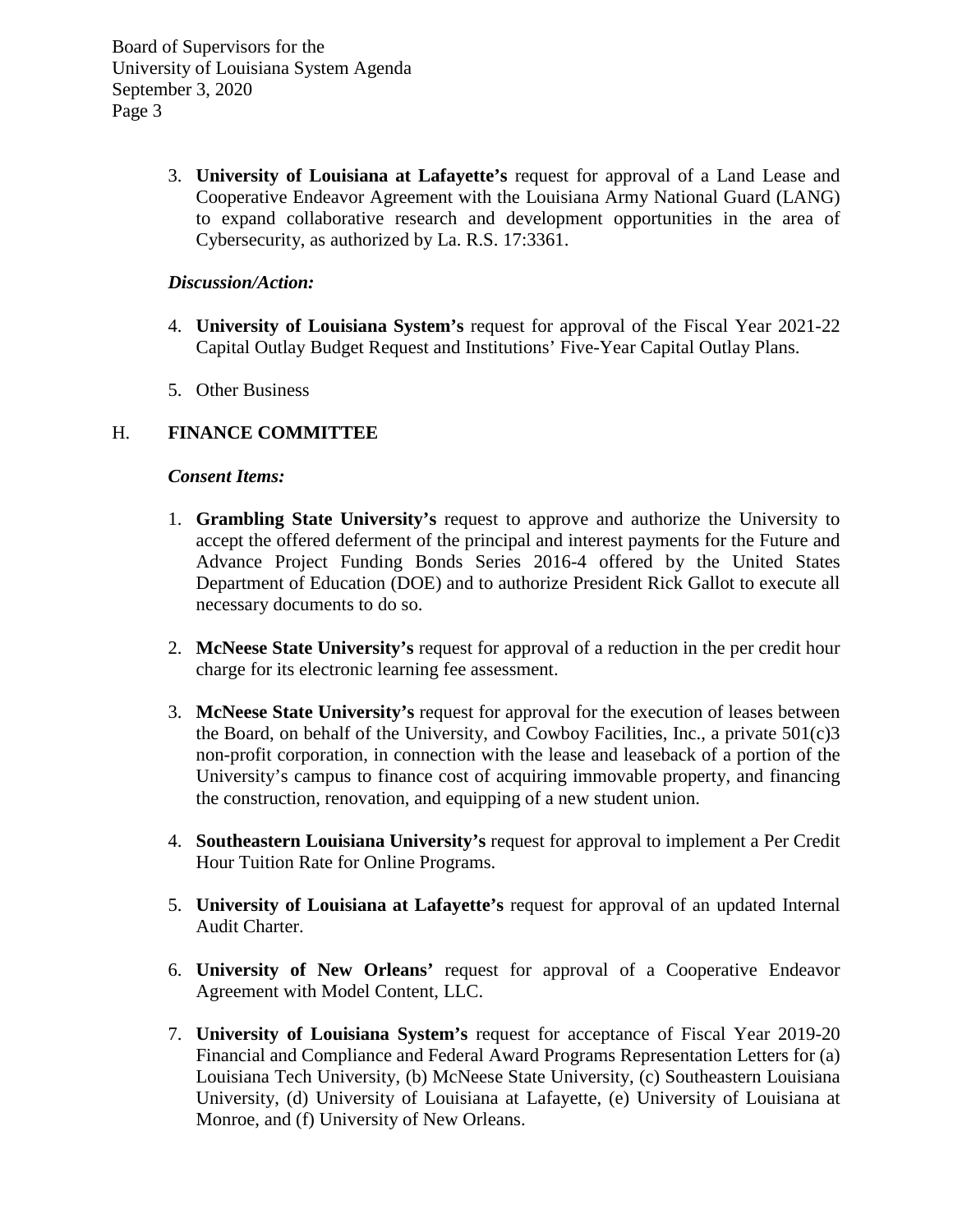Board of Supervisors for the University of Louisiana System Agenda September 3, 2020 Page 3

> 3. **University of Louisiana at Lafayette's** request for approval of a Land Lease and Cooperative Endeavor Agreement with the Louisiana Army National Guard (LANG) to expand collaborative research and development opportunities in the area of Cybersecurity, as authorized by La. R.S. 17:3361.

## *Discussion/Action:*

- 4. **University of Louisiana System's** request for approval of the Fiscal Year 2021-22 Capital Outlay Budget Request and Institutions' Five-Year Capital Outlay Plans.
- 5. Other Business

# H. **FINANCE COMMITTEE**

#### *Consent Items:*

- 1. **Grambling State University's** request to approve and authorize the University to accept the offered deferment of the principal and interest payments for the Future and Advance Project Funding Bonds Series 2016-4 offered by the United States Department of Education (DOE) and to authorize President Rick Gallot to execute all necessary documents to do so.
- 2. **McNeese State University's** request for approval of a reduction in the per credit hour charge for its electronic learning fee assessment.
- 3. **McNeese State University's** request for approval for the execution of leases between the Board, on behalf of the University, and Cowboy Facilities, Inc., a private  $501(c)3$ non-profit corporation, in connection with the lease and leaseback of a portion of the University's campus to finance cost of acquiring immovable property, and financing the construction, renovation, and equipping of a new student union.
- 4. **Southeastern Louisiana University's** request for approval to implement a Per Credit Hour Tuition Rate for Online Programs.
- 5. **University of Louisiana at Lafayette's** request for approval of an updated Internal Audit Charter.
- 6. **University of New Orleans'** request for approval of a Cooperative Endeavor Agreement with Model Content, LLC.
- 7. **University of Louisiana System's** request for acceptance of Fiscal Year 2019-20 Financial and Compliance and Federal Award Programs Representation Letters for (a) Louisiana Tech University, (b) McNeese State University, (c) Southeastern Louisiana University, (d) University of Louisiana at Lafayette, (e) University of Louisiana at Monroe, and (f) University of New Orleans.